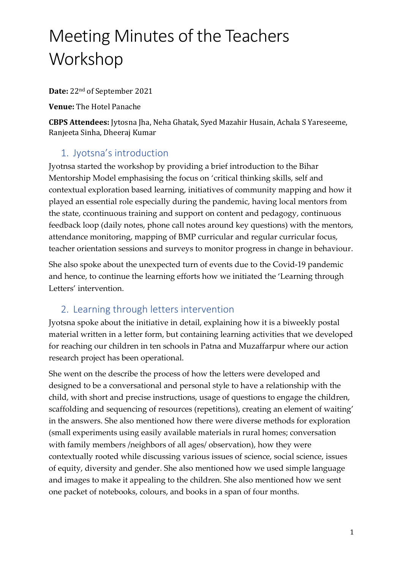# Meeting Minutes of the Teachers Workshop

**Date:** 22nd of September 2021

**Venue:** The Hotel Panache

**CBPS Attendees:** Jytosna Jha, Neha Ghatak, Syed Mazahir Husain, Achala S Yareseeme, Ranjeeta Sinha, Dheeraj Kumar

## 1. Jyotsna's introduction

Jyotnsa started the workshop by providing a brief introduction to the Bihar Mentorship Model emphasising the focus on 'critical thinking skills, self and contextual exploration based learning, initiatives of community mapping and how it played an essential role especially during the pandemic, having local mentors from the state, ccontinuous training and support on content and pedagogy, continuous feedback loop (daily notes, phone call notes around key questions) with the mentors, attendance monitoring, mapping of BMP curricular and regular curricular focus, teacher orientation sessions and surveys to monitor progress in change in behaviour.

She also spoke about the unexpected turn of events due to the Covid-19 pandemic and hence, to continue the learning efforts how we initiated the 'Learning through Letters' intervention.

## 2. Learning through letters intervention

Jyotsna spoke about the initiative in detail, explaining how it is a biweekly postal material written in a letter form, but containing learning activities that we developed for reaching our children in ten schools in Patna and Muzaffarpur where our action research project has been operational.

She went on the describe the process of how the letters were developed and designed to be a conversational and personal style to have a relationship with the child, with short and precise instructions, usage of questions to engage the children, scaffolding and sequencing of resources (repetitions), creating an element of waiting' in the answers. She also mentioned how there were diverse methods for exploration (small experiments using easily available materials in rural homes; conversation with family members /neighbors of all ages/ observation), how they were contextually rooted while discussing various issues of science, social science, issues of equity, diversity and gender. She also mentioned how we used simple language and images to make it appealing to the children. She also mentioned how we sent one packet of notebooks, colours, and books in a span of four months.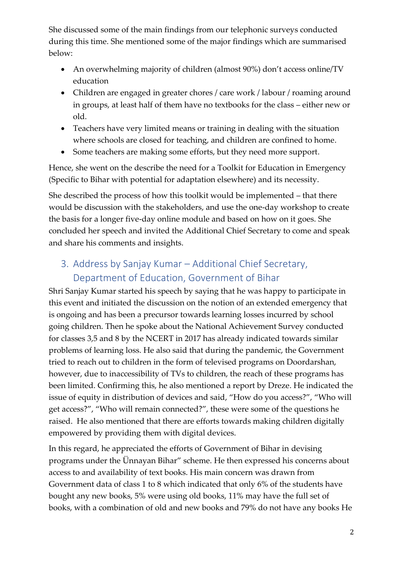She discussed some of the main findings from our telephonic surveys conducted during this time. She mentioned some of the major findings which are summarised below:

- An overwhelming majority of children (almost 90%) don't access online/TV education
- Children are engaged in greater chores / care work / labour / roaming around in groups, at least half of them have no textbooks for the class – either new or old.
- Teachers have very limited means or training in dealing with the situation where schools are closed for teaching, and children are confined to home.
- Some teachers are making some efforts, but they need more support.

Hence, she went on the describe the need for a Toolkit for Education in Emergency (Specific to Bihar with potential for adaptation elsewhere) and its necessity.

She described the process of how this toolkit would be implemented – that there would be discussion with the stakeholders, and use the one-day workshop to create the basis for a longer five-day online module and based on how on it goes. She concluded her speech and invited the Additional Chief Secretary to come and speak and share his comments and insights.

# 3. Address by Sanjay Kumar – Additional Chief Secretary, Department of Education, Government of Bihar

Shri Sanjay Kumar started his speech by saying that he was happy to participate in this event and initiated the discussion on the notion of an extended emergency that is ongoing and has been a precursor towards learning losses incurred by school going children. Then he spoke about the National Achievement Survey conducted for classes 3,5 and 8 by the NCERT in 2017 has already indicated towards similar problems of learning loss. He also said that during the pandemic, the Government tried to reach out to children in the form of televised programs on Doordarshan, however, due to inaccessibility of TVs to children, the reach of these programs has been limited. Confirming this, he also mentioned a report by Dreze. He indicated the issue of equity in distribution of devices and said, "How do you access?", "Who will get access?", "Who will remain connected?", these were some of the questions he raised. He also mentioned that there are efforts towards making children digitally empowered by providing them with digital devices.

In this regard, he appreciated the efforts of Government of Bihar in devising programs under the Ünnayan Bihar" scheme. He then expressed his concerns about access to and availability of text books. His main concern was drawn from Government data of class 1 to 8 which indicated that only 6% of the students have bought any new books, 5% were using old books, 11% may have the full set of books, with a combination of old and new books and 79% do not have any books He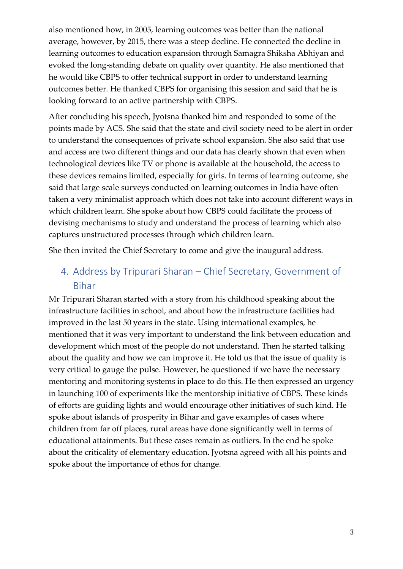also mentioned how, in 2005, learning outcomes was better than the national average, however, by 2015, there was a steep decline. He connected the decline in learning outcomes to education expansion through Samagra Shiksha Abhiyan and evoked the long-standing debate on quality over quantity. He also mentioned that he would like CBPS to offer technical support in order to understand learning outcomes better. He thanked CBPS for organising this session and said that he is looking forward to an active partnership with CBPS.

After concluding his speech, Jyotsna thanked him and responded to some of the points made by ACS. She said that the state and civil society need to be alert in order to understand the consequences of private school expansion. She also said that use and access are two different things and our data has clearly shown that even when technological devices like TV or phone is available at the household, the access to these devices remains limited, especially for girls. In terms of learning outcome, she said that large scale surveys conducted on learning outcomes in India have often taken a very minimalist approach which does not take into account different ways in which children learn. She spoke about how CBPS could facilitate the process of devising mechanisms to study and understand the process of learning which also captures unstructured processes through which children learn.

She then invited the Chief Secretary to come and give the inaugural address.

## 4. Address by Tripurari Sharan – Chief Secretary, Government of Bihar

Mr Tripurari Sharan started with a story from his childhood speaking about the infrastructure facilities in school, and about how the infrastructure facilities had improved in the last 50 years in the state. Using international examples, he mentioned that it was very important to understand the link between education and development which most of the people do not understand. Then he started talking about the quality and how we can improve it. He told us that the issue of quality is very critical to gauge the pulse. However, he questioned if we have the necessary mentoring and monitoring systems in place to do this. He then expressed an urgency in launching 100 of experiments like the mentorship initiative of CBPS. These kinds of efforts are guiding lights and would encourage other initiatives of such kind. He spoke about islands of prosperity in Bihar and gave examples of cases where children from far off places, rural areas have done significantly well in terms of educational attainments. But these cases remain as outliers. In the end he spoke about the criticality of elementary education. Jyotsna agreed with all his points and spoke about the importance of ethos for change.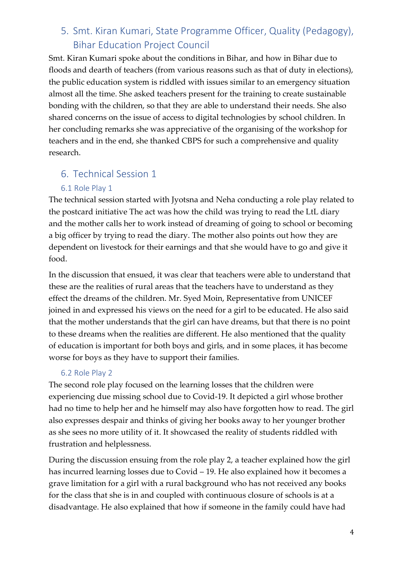## 5. Smt. Kiran Kumari, State Programme Officer, Quality (Pedagogy), Bihar Education Project Council

Smt. Kiran Kumari spoke about the conditions in Bihar, and how in Bihar due to floods and dearth of teachers (from various reasons such as that of duty in elections), the public education system is riddled with issues similar to an emergency situation almost all the time. She asked teachers present for the training to create sustainable bonding with the children, so that they are able to understand their needs. She also shared concerns on the issue of access to digital technologies by school children. In her concluding remarks she was appreciative of the organising of the workshop for teachers and in the end, she thanked CBPS for such a comprehensive and quality research.

## 6. Technical Session 1

#### 6.1 Role Play 1

The technical session started with Jyotsna and Neha conducting a role play related to the postcard initiative The act was how the child was trying to read the LtL diary and the mother calls her to work instead of dreaming of going to school or becoming a big officer by trying to read the diary. The mother also points out how they are dependent on livestock for their earnings and that she would have to go and give it food.

In the discussion that ensued, it was clear that teachers were able to understand that these are the realities of rural areas that the teachers have to understand as they effect the dreams of the children. Mr. Syed Moin, Representative from UNICEF joined in and expressed his views on the need for a girl to be educated. He also said that the mother understands that the girl can have dreams, but that there is no point to these dreams when the realities are different. He also mentioned that the quality of education is important for both boys and girls, and in some places, it has become worse for boys as they have to support their families.

#### 6.2 Role Play 2

The second role play focused on the learning losses that the children were experiencing due missing school due to Covid-19. It depicted a girl whose brother had no time to help her and he himself may also have forgotten how to read. The girl also expresses despair and thinks of giving her books away to her younger brother as she sees no more utility of it. It showcased the reality of students riddled with frustration and helplessness.

During the discussion ensuing from the role play 2, a teacher explained how the girl has incurred learning losses due to Covid – 19. He also explained how it becomes a grave limitation for a girl with a rural background who has not received any books for the class that she is in and coupled with continuous closure of schools is at a disadvantage. He also explained that how if someone in the family could have had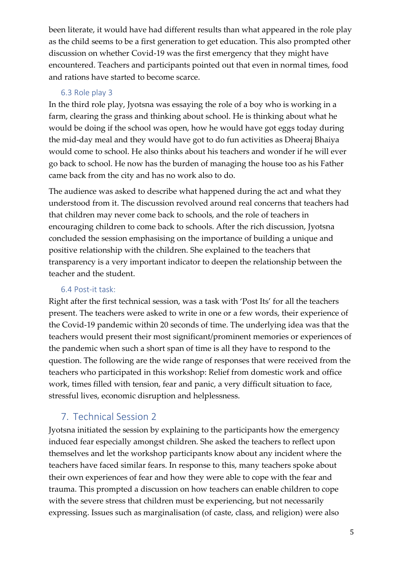been literate, it would have had different results than what appeared in the role play as the child seems to be a first generation to get education. This also prompted other discussion on whether Covid-19 was the first emergency that they might have encountered. Teachers and participants pointed out that even in normal times, food and rations have started to become scarce.

### 6.3 Role play 3

In the third role play, Jyotsna was essaying the role of a boy who is working in a farm, clearing the grass and thinking about school. He is thinking about what he would be doing if the school was open, how he would have got eggs today during the mid-day meal and they would have got to do fun activities as Dheeraj Bhaiya would come to school. He also thinks about his teachers and wonder if he will ever go back to school. He now has the burden of managing the house too as his Father came back from the city and has no work also to do.

The audience was asked to describe what happened during the act and what they understood from it. The discussion revolved around real concerns that teachers had that children may never come back to schools, and the role of teachers in encouraging children to come back to schools. After the rich discussion, Jyotsna concluded the session emphasising on the importance of building a unique and positive relationship with the children. She explained to the teachers that transparency is a very important indicator to deepen the relationship between the teacher and the student.

## 6.4 Post-it task:

Right after the first technical session, was a task with 'Post Its' for all the teachers present. The teachers were asked to write in one or a few words, their experience of the Covid-19 pandemic within 20 seconds of time. The underlying idea was that the teachers would present their most significant/prominent memories or experiences of the pandemic when such a short span of time is all they have to respond to the question. The following are the wide range of responses that were received from the teachers who participated in this workshop: Relief from domestic work and office work, times filled with tension, fear and panic, a very difficult situation to face, stressful lives, economic disruption and helplessness.

## 7. Technical Session 2

Jyotsna initiated the session by explaining to the participants how the emergency induced fear especially amongst children. She asked the teachers to reflect upon themselves and let the workshop participants know about any incident where the teachers have faced similar fears. In response to this, many teachers spoke about their own experiences of fear and how they were able to cope with the fear and trauma. This prompted a discussion on how teachers can enable children to cope with the severe stress that children must be experiencing, but not necessarily expressing. Issues such as marginalisation (of caste, class, and religion) were also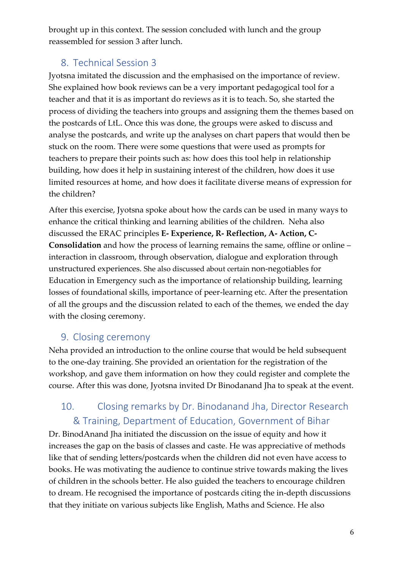brought up in this context. The session concluded with lunch and the group reassembled for session 3 after lunch.

## 8. Technical Session 3

Jyotsna imitated the discussion and the emphasised on the importance of review. She explained how book reviews can be a very important pedagogical tool for a teacher and that it is as important do reviews as it is to teach. So, she started the process of dividing the teachers into groups and assigning them the themes based on the postcards of LtL. Once this was done, the groups were asked to discuss and analyse the postcards, and write up the analyses on chart papers that would then be stuck on the room. There were some questions that were used as prompts for teachers to prepare their points such as: how does this tool help in relationship building, how does it help in sustaining interest of the children, how does it use limited resources at home, and how does it facilitate diverse means of expression for the children?

After this exercise, Jyotsna spoke about how the cards can be used in many ways to enhance the critical thinking and learning abilities of the children. Neha also discussed the ERAC principles **E- Experience, R- Reflection, A- Action, C-Consolidation** and how the process of learning remains the same, offline or online – interaction in classroom, through observation, dialogue and exploration through unstructured experiences. She also discussed about certain non-negotiables for Education in Emergency such as the importance of relationship building, learning losses of foundational skills, importance of peer-learning etc. After the presentation of all the groups and the discussion related to each of the themes, we ended the day with the closing ceremony.

## 9. Closing ceremony

Neha provided an introduction to the online course that would be held subsequent to the one-day training. She provided an orientation for the registration of the workshop, and gave them information on how they could register and complete the course. After this was done, Jyotsna invited Dr Binodanand Jha to speak at the event.

# 10. Closing remarks by Dr. Binodanand Jha, Director Research & Training, Department of Education, Government of Bihar

Dr. BinodAnand Jha initiated the discussion on the issue of equity and how it increases the gap on the basis of classes and caste. He was appreciative of methods like that of sending letters/postcards when the children did not even have access to books. He was motivating the audience to continue strive towards making the lives of children in the schools better. He also guided the teachers to encourage children to dream. He recognised the importance of postcards citing the in-depth discussions that they initiate on various subjects like English, Maths and Science. He also